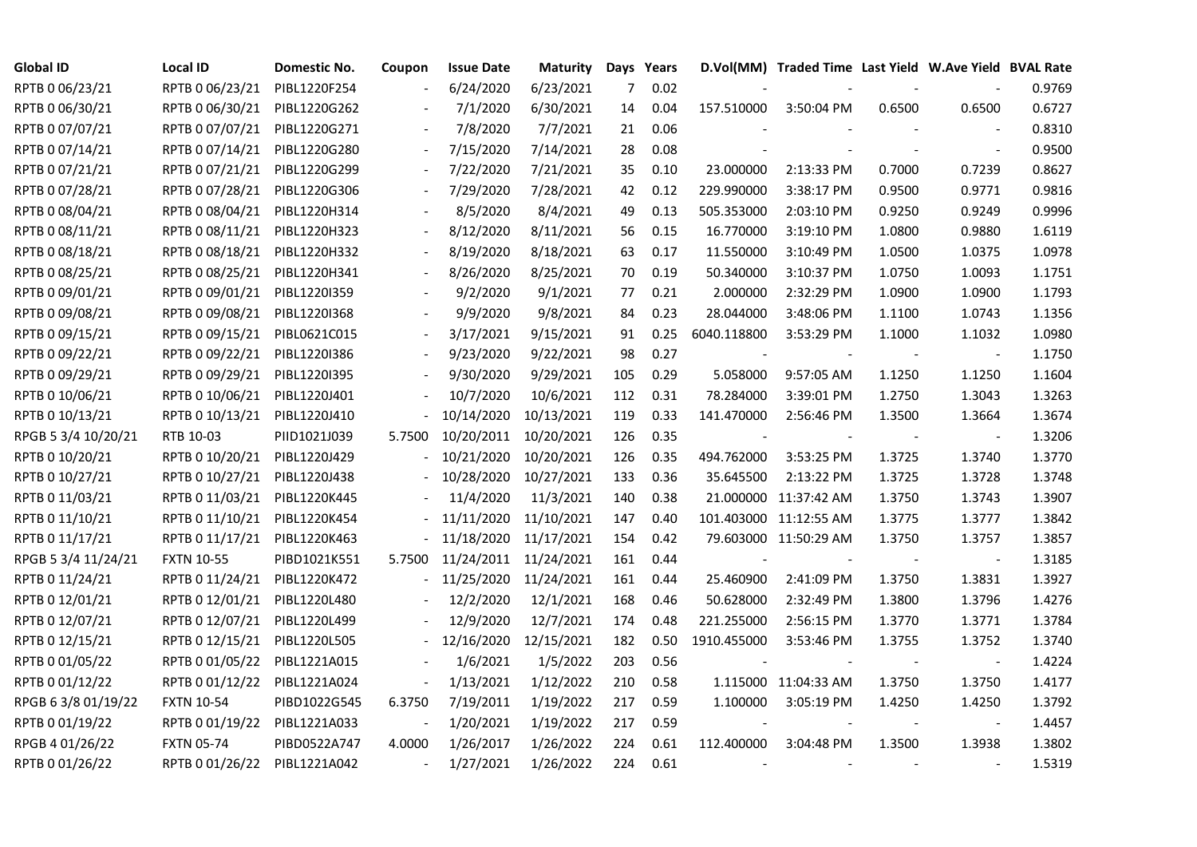| <b>Global ID</b>    | <b>Local ID</b>   | Domestic No. | Coupon | <b>Issue Date</b>     | <b>Maturity</b> |                | Days Years |                | D.Vol(MM) Traded Time Last Yield W.Ave Yield BVAL Rate |        |                          |        |
|---------------------|-------------------|--------------|--------|-----------------------|-----------------|----------------|------------|----------------|--------------------------------------------------------|--------|--------------------------|--------|
| RPTB 0 06/23/21     | RPTB 0 06/23/21   | PIBL1220F254 |        | 6/24/2020             | 6/23/2021       | $\overline{7}$ | 0.02       |                |                                                        |        |                          | 0.9769 |
| RPTB 0 06/30/21     | RPTB 0 06/30/21   | PIBL1220G262 |        | 7/1/2020              | 6/30/2021       | 14             | 0.04       | 157.510000     | 3:50:04 PM                                             | 0.6500 | 0.6500                   | 0.6727 |
| RPTB 0 07/07/21     | RPTB 0 07/07/21   | PIBL1220G271 |        | 7/8/2020              | 7/7/2021        | 21             | 0.06       |                |                                                        |        |                          | 0.8310 |
| RPTB 0 07/14/21     | RPTB 0 07/14/21   | PIBL1220G280 |        | 7/15/2020             | 7/14/2021       | 28             | 0.08       |                |                                                        |        | $\overline{\phantom{a}}$ | 0.9500 |
| RPTB 0 07/21/21     | RPTB 0 07/21/21   | PIBL1220G299 |        | 7/22/2020             | 7/21/2021       | 35             | 0.10       | 23.000000      | 2:13:33 PM                                             | 0.7000 | 0.7239                   | 0.8627 |
| RPTB 0 07/28/21     | RPTB 0 07/28/21   | PIBL1220G306 |        | 7/29/2020             | 7/28/2021       | 42             | 0.12       | 229.990000     | 3:38:17 PM                                             | 0.9500 | 0.9771                   | 0.9816 |
| RPTB 0 08/04/21     | RPTB 0 08/04/21   | PIBL1220H314 |        | 8/5/2020              | 8/4/2021        | 49             | 0.13       | 505.353000     | 2:03:10 PM                                             | 0.9250 | 0.9249                   | 0.9996 |
| RPTB 0 08/11/21     | RPTB 0 08/11/21   | PIBL1220H323 |        | 8/12/2020             | 8/11/2021       | 56             | 0.15       | 16.770000      | 3:19:10 PM                                             | 1.0800 | 0.9880                   | 1.6119 |
| RPTB 0 08/18/21     | RPTB 0 08/18/21   | PIBL1220H332 |        | 8/19/2020             | 8/18/2021       | 63             | 0.17       | 11.550000      | 3:10:49 PM                                             | 1.0500 | 1.0375                   | 1.0978 |
| RPTB 0 08/25/21     | RPTB 0 08/25/21   | PIBL1220H341 |        | 8/26/2020             | 8/25/2021       | 70             | 0.19       | 50.340000      | 3:10:37 PM                                             | 1.0750 | 1.0093                   | 1.1751 |
| RPTB 0 09/01/21     | RPTB 0 09/01/21   | PIBL1220I359 |        | 9/2/2020              | 9/1/2021        | 77             | 0.21       | 2.000000       | 2:32:29 PM                                             | 1.0900 | 1.0900                   | 1.1793 |
| RPTB 0 09/08/21     | RPTB 0 09/08/21   | PIBL1220I368 |        | 9/9/2020              | 9/8/2021        | 84             | 0.23       | 28.044000      | 3:48:06 PM                                             | 1.1100 | 1.0743                   | 1.1356 |
| RPTB 0 09/15/21     | RPTB 0 09/15/21   | PIBL0621C015 |        | 3/17/2021             | 9/15/2021       | 91             | 0.25       | 6040.118800    | 3:53:29 PM                                             | 1.1000 | 1.1032                   | 1.0980 |
| RPTB 0 09/22/21     | RPTB 0 09/22/21   | PIBL1220I386 |        | 9/23/2020             | 9/22/2021       | 98             | 0.27       |                |                                                        |        | $\sim$                   | 1.1750 |
| RPTB 0 09/29/21     | RPTB 0 09/29/21   | PIBL1220I395 |        | 9/30/2020             | 9/29/2021       | 105            | 0.29       | 5.058000       | 9:57:05 AM                                             | 1.1250 | 1.1250                   | 1.1604 |
| RPTB 0 10/06/21     | RPTB 0 10/06/21   | PIBL1220J401 |        | 10/7/2020             | 10/6/2021       | 112            | 0.31       | 78.284000      | 3:39:01 PM                                             | 1.2750 | 1.3043                   | 1.3263 |
| RPTB 0 10/13/21     | RPTB 0 10/13/21   | PIBL1220J410 |        | 10/14/2020            | 10/13/2021      | 119            | 0.33       | 141.470000     | 2:56:46 PM                                             | 1.3500 | 1.3664                   | 1.3674 |
| RPGB 5 3/4 10/20/21 | RTB 10-03         | PIID1021J039 | 5.7500 | 10/20/2011 10/20/2021 |                 | 126            | 0.35       |                |                                                        |        |                          | 1.3206 |
| RPTB 0 10/20/21     | RPTB 0 10/20/21   | PIBL1220J429 |        | 10/21/2020            | 10/20/2021      | 126            | 0.35       | 494.762000     | 3:53:25 PM                                             | 1.3725 | 1.3740                   | 1.3770 |
| RPTB 0 10/27/21     | RPTB 0 10/27/21   | PIBL1220J438 |        | 10/28/2020 10/27/2021 |                 | 133            | 0.36       | 35.645500      | 2:13:22 PM                                             | 1.3725 | 1.3728                   | 1.3748 |
| RPTB 0 11/03/21     | RPTB 0 11/03/21   | PIBL1220K445 |        | 11/4/2020             | 11/3/2021       | 140            | 0.38       |                | 21.000000 11:37:42 AM                                  | 1.3750 | 1.3743                   | 1.3907 |
| RPTB 0 11/10/21     | RPTB 0 11/10/21   | PIBL1220K454 |        | 11/11/2020            | 11/10/2021      | 147            | 0.40       |                | 101.403000 11:12:55 AM                                 | 1.3775 | 1.3777                   | 1.3842 |
| RPTB 0 11/17/21     | RPTB 0 11/17/21   | PIBL1220K463 |        | 11/18/2020            | 11/17/2021      | 154            | 0.42       |                | 79.603000 11:50:29 AM                                  | 1.3750 | 1.3757                   | 1.3857 |
| RPGB 5 3/4 11/24/21 | <b>FXTN 10-55</b> | PIBD1021K551 | 5.7500 | 11/24/2011 11/24/2021 |                 | 161            | 0.44       |                |                                                        |        |                          | 1.3185 |
| RPTB 0 11/24/21     | RPTB 0 11/24/21   | PIBL1220K472 |        | 11/25/2020            | 11/24/2021      | 161            | 0.44       | 25.460900      | 2:41:09 PM                                             | 1.3750 | 1.3831                   | 1.3927 |
| RPTB 0 12/01/21     | RPTB 0 12/01/21   | PIBL1220L480 |        | 12/2/2020             | 12/1/2021       | 168            | 0.46       | 50.628000      | 2:32:49 PM                                             | 1.3800 | 1.3796                   | 1.4276 |
| RPTB 0 12/07/21     | RPTB 0 12/07/21   | PIBL1220L499 |        | 12/9/2020             | 12/7/2021       | 174            | 0.48       | 221.255000     | 2:56:15 PM                                             | 1.3770 | 1.3771                   | 1.3784 |
| RPTB 0 12/15/21     | RPTB 0 12/15/21   | PIBL1220L505 |        | 12/16/2020 12/15/2021 |                 | 182            | 0.50       | 1910.455000    | 3:53:46 PM                                             | 1.3755 | 1.3752                   | 1.3740 |
| RPTB 0 01/05/22     | RPTB 0 01/05/22   | PIBL1221A015 |        | 1/6/2021              | 1/5/2022        | 203            | 0.56       | $\overline{a}$ |                                                        |        | $\blacksquare$           | 1.4224 |
| RPTB 0 01/12/22     | RPTB 0 01/12/22   | PIBL1221A024 |        | 1/13/2021             | 1/12/2022       | 210            | 0.58       |                | 1.115000 11:04:33 AM                                   | 1.3750 | 1.3750                   | 1.4177 |
| RPGB 63/8 01/19/22  | <b>FXTN 10-54</b> | PIBD1022G545 | 6.3750 | 7/19/2011             | 1/19/2022       | 217            | 0.59       | 1.100000       | 3:05:19 PM                                             | 1.4250 | 1.4250                   | 1.3792 |
| RPTB 0 01/19/22     | RPTB 0 01/19/22   | PIBL1221A033 |        | 1/20/2021             | 1/19/2022       | 217            | 0.59       |                |                                                        |        |                          | 1.4457 |
| RPGB 4 01/26/22     | <b>FXTN 05-74</b> | PIBD0522A747 | 4.0000 | 1/26/2017             | 1/26/2022       | 224            | 0.61       | 112.400000     | 3:04:48 PM                                             | 1.3500 | 1.3938                   | 1.3802 |
| RPTB 0 01/26/22     | RPTB 0 01/26/22   | PIBL1221A042 |        | 1/27/2021             | 1/26/2022       | 224            | 0.61       |                |                                                        |        |                          | 1.5319 |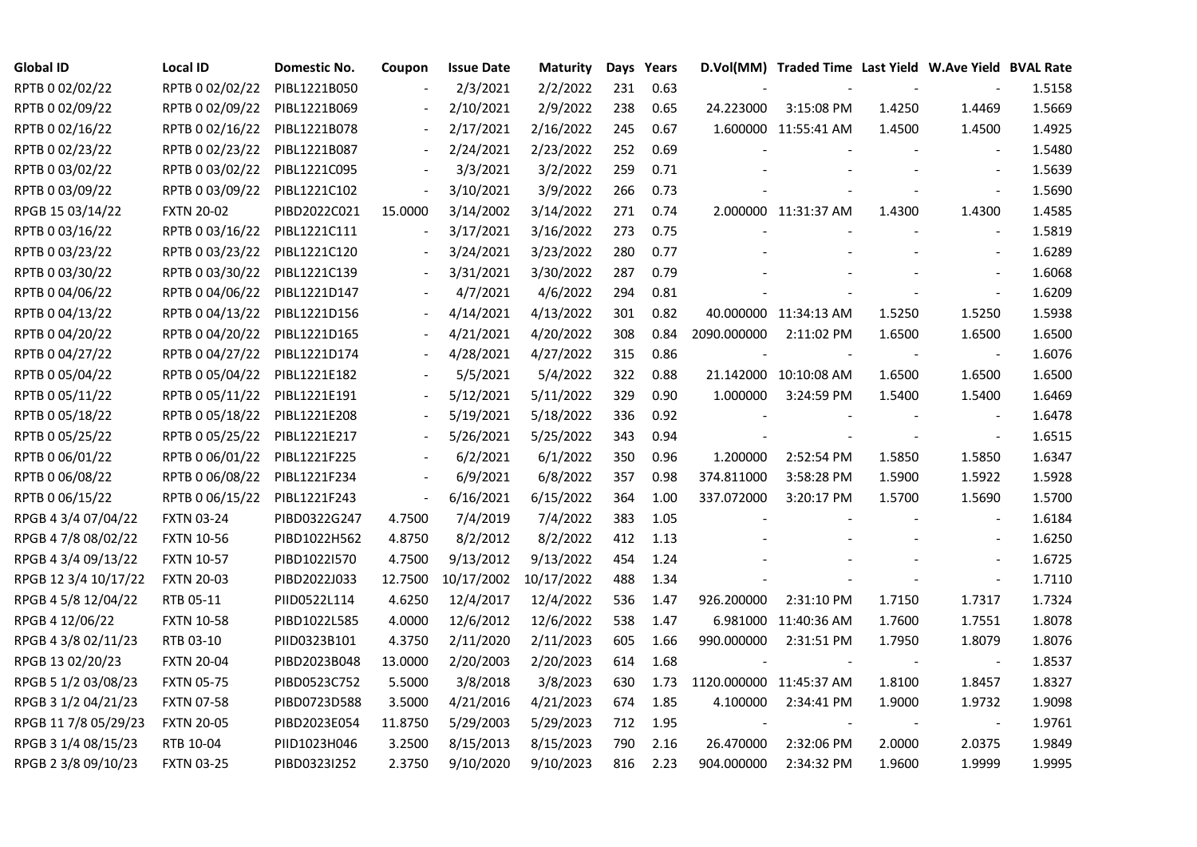| <b>Global ID</b>     | <b>Local ID</b>   | Domestic No. | Coupon                   | <b>Issue Date</b> | Maturity   |     | Days Years |                         | D.Vol(MM) Traded Time Last Yield W.Ave Yield BVAL Rate |        |                          |        |
|----------------------|-------------------|--------------|--------------------------|-------------------|------------|-----|------------|-------------------------|--------------------------------------------------------|--------|--------------------------|--------|
| RPTB 0 02/02/22      | RPTB 0 02/02/22   | PIBL1221B050 |                          | 2/3/2021          | 2/2/2022   | 231 | 0.63       |                         |                                                        |        |                          | 1.5158 |
| RPTB 0 02/09/22      | RPTB 0 02/09/22   | PIBL1221B069 |                          | 2/10/2021         | 2/9/2022   | 238 | 0.65       | 24.223000               | 3:15:08 PM                                             | 1.4250 | 1.4469                   | 1.5669 |
| RPTB 0 02/16/22      | RPTB 0 02/16/22   | PIBL1221B078 |                          | 2/17/2021         | 2/16/2022  | 245 | 0.67       |                         | 1.600000 11:55:41 AM                                   | 1.4500 | 1.4500                   | 1.4925 |
| RPTB 0 02/23/22      | RPTB 0 02/23/22   | PIBL1221B087 | $\overline{\phantom{a}}$ | 2/24/2021         | 2/23/2022  | 252 | 0.69       |                         |                                                        |        |                          | 1.5480 |
| RPTB 0 03/02/22      | RPTB 0 03/02/22   | PIBL1221C095 | $\blacksquare$           | 3/3/2021          | 3/2/2022   | 259 | 0.71       |                         |                                                        |        | $\blacksquare$           | 1.5639 |
| RPTB 0 03/09/22      | RPTB 0 03/09/22   | PIBL1221C102 | $\blacksquare$           | 3/10/2021         | 3/9/2022   | 266 | 0.73       |                         |                                                        |        | $\blacksquare$           | 1.5690 |
| RPGB 15 03/14/22     | <b>FXTN 20-02</b> | PIBD2022C021 | 15.0000                  | 3/14/2002         | 3/14/2022  | 271 | 0.74       |                         | 2.000000 11:31:37 AM                                   | 1.4300 | 1.4300                   | 1.4585 |
| RPTB 0 03/16/22      | RPTB 0 03/16/22   | PIBL1221C111 | $\overline{\phantom{a}}$ | 3/17/2021         | 3/16/2022  | 273 | 0.75       |                         |                                                        |        | $\blacksquare$           | 1.5819 |
| RPTB 0 03/23/22      | RPTB 0 03/23/22   | PIBL1221C120 |                          | 3/24/2021         | 3/23/2022  | 280 | 0.77       |                         |                                                        |        |                          | 1.6289 |
| RPTB 0 03/30/22      | RPTB 0 03/30/22   | PIBL1221C139 |                          | 3/31/2021         | 3/30/2022  | 287 | 0.79       |                         |                                                        |        |                          | 1.6068 |
| RPTB 0 04/06/22      | RPTB 0 04/06/22   | PIBL1221D147 |                          | 4/7/2021          | 4/6/2022   | 294 | 0.81       |                         |                                                        |        | $\blacksquare$           | 1.6209 |
| RPTB 0 04/13/22      | RPTB 0 04/13/22   | PIBL1221D156 | $\overline{\phantom{a}}$ | 4/14/2021         | 4/13/2022  | 301 | 0.82       |                         | 40.000000 11:34:13 AM                                  | 1.5250 | 1.5250                   | 1.5938 |
| RPTB 0 04/20/22      | RPTB 0 04/20/22   | PIBL1221D165 | $\overline{\phantom{a}}$ | 4/21/2021         | 4/20/2022  | 308 | 0.84       | 2090.000000             | 2:11:02 PM                                             | 1.6500 | 1.6500                   | 1.6500 |
| RPTB 0 04/27/22      | RPTB 0 04/27/22   | PIBL1221D174 |                          | 4/28/2021         | 4/27/2022  | 315 | 0.86       |                         |                                                        |        | $\blacksquare$           | 1.6076 |
| RPTB 0 05/04/22      | RPTB 0 05/04/22   | PIBL1221E182 |                          | 5/5/2021          | 5/4/2022   | 322 | 0.88       |                         | 21.142000 10:10:08 AM                                  | 1.6500 | 1.6500                   | 1.6500 |
| RPTB 0 05/11/22      | RPTB 0 05/11/22   | PIBL1221E191 |                          | 5/12/2021         | 5/11/2022  | 329 | 0.90       | 1.000000                | 3:24:59 PM                                             | 1.5400 | 1.5400                   | 1.6469 |
| RPTB 0 05/18/22      | RPTB 0 05/18/22   | PIBL1221E208 |                          | 5/19/2021         | 5/18/2022  | 336 | 0.92       |                         |                                                        |        |                          | 1.6478 |
| RPTB 0 05/25/22      | RPTB 0 05/25/22   | PIBL1221E217 | $\overline{\phantom{a}}$ | 5/26/2021         | 5/25/2022  | 343 | 0.94       |                         |                                                        |        | $\blacksquare$           | 1.6515 |
| RPTB 0 06/01/22      | RPTB 0 06/01/22   | PIBL1221F225 |                          | 6/2/2021          | 6/1/2022   | 350 | 0.96       | 1.200000                | 2:52:54 PM                                             | 1.5850 | 1.5850                   | 1.6347 |
| RPTB 0 06/08/22      | RPTB 0 06/08/22   | PIBL1221F234 | $\frac{1}{2}$            | 6/9/2021          | 6/8/2022   | 357 | 0.98       | 374.811000              | 3:58:28 PM                                             | 1.5900 | 1.5922                   | 1.5928 |
| RPTB 0 06/15/22      | RPTB 0 06/15/22   | PIBL1221F243 | $\blacksquare$           | 6/16/2021         | 6/15/2022  | 364 | 1.00       | 337.072000              | 3:20:17 PM                                             | 1.5700 | 1.5690                   | 1.5700 |
| RPGB 4 3/4 07/04/22  | <b>FXTN 03-24</b> | PIBD0322G247 | 4.7500                   | 7/4/2019          | 7/4/2022   | 383 | 1.05       |                         |                                                        |        | $\overline{\phantom{a}}$ | 1.6184 |
| RPGB 4 7/8 08/02/22  | <b>FXTN 10-56</b> | PIBD1022H562 | 4.8750                   | 8/2/2012          | 8/2/2022   | 412 | 1.13       |                         |                                                        |        |                          | 1.6250 |
| RPGB 4 3/4 09/13/22  | <b>FXTN 10-57</b> | PIBD1022I570 | 4.7500                   | 9/13/2012         | 9/13/2022  | 454 | 1.24       |                         |                                                        |        | $\overline{a}$           | 1.6725 |
| RPGB 12 3/4 10/17/22 | <b>FXTN 20-03</b> | PIBD2022J033 | 12.7500                  | 10/17/2002        | 10/17/2022 | 488 | 1.34       |                         |                                                        |        | $\blacksquare$           | 1.7110 |
| RPGB 4 5/8 12/04/22  | RTB 05-11         | PIID0522L114 | 4.6250                   | 12/4/2017         | 12/4/2022  | 536 | 1.47       | 926.200000              | 2:31:10 PM                                             | 1.7150 | 1.7317                   | 1.7324 |
| RPGB 4 12/06/22      | <b>FXTN 10-58</b> | PIBD1022L585 | 4.0000                   | 12/6/2012         | 12/6/2022  | 538 | 1.47       |                         | 6.981000 11:40:36 AM                                   | 1.7600 | 1.7551                   | 1.8078 |
| RPGB 4 3/8 02/11/23  | RTB 03-10         | PIID0323B101 | 4.3750                   | 2/11/2020         | 2/11/2023  | 605 | 1.66       | 990.000000              | 2:31:51 PM                                             | 1.7950 | 1.8079                   | 1.8076 |
| RPGB 13 02/20/23     | <b>FXTN 20-04</b> | PIBD2023B048 | 13.0000                  | 2/20/2003         | 2/20/2023  | 614 | 1.68       |                         |                                                        |        | $\blacksquare$           | 1.8537 |
| RPGB 5 1/2 03/08/23  | <b>FXTN 05-75</b> | PIBD0523C752 | 5.5000                   | 3/8/2018          | 3/8/2023   | 630 | 1.73       | 1120.000000 11:45:37 AM |                                                        | 1.8100 | 1.8457                   | 1.8327 |
| RPGB 3 1/2 04/21/23  | <b>FXTN 07-58</b> | PIBD0723D588 | 3.5000                   | 4/21/2016         | 4/21/2023  | 674 | 1.85       | 4.100000                | 2:34:41 PM                                             | 1.9000 | 1.9732                   | 1.9098 |
| RPGB 11 7/8 05/29/23 | <b>FXTN 20-05</b> | PIBD2023E054 | 11.8750                  | 5/29/2003         | 5/29/2023  | 712 | 1.95       |                         |                                                        |        |                          | 1.9761 |
| RPGB 3 1/4 08/15/23  | RTB 10-04         | PIID1023H046 | 3.2500                   | 8/15/2013         | 8/15/2023  | 790 | 2.16       | 26.470000               | 2:32:06 PM                                             | 2.0000 | 2.0375                   | 1.9849 |
| RPGB 2 3/8 09/10/23  | <b>FXTN 03-25</b> | PIBD0323I252 | 2.3750                   | 9/10/2020         | 9/10/2023  | 816 | 2.23       | 904.000000              | 2:34:32 PM                                             | 1.9600 | 1.9999                   | 1.9995 |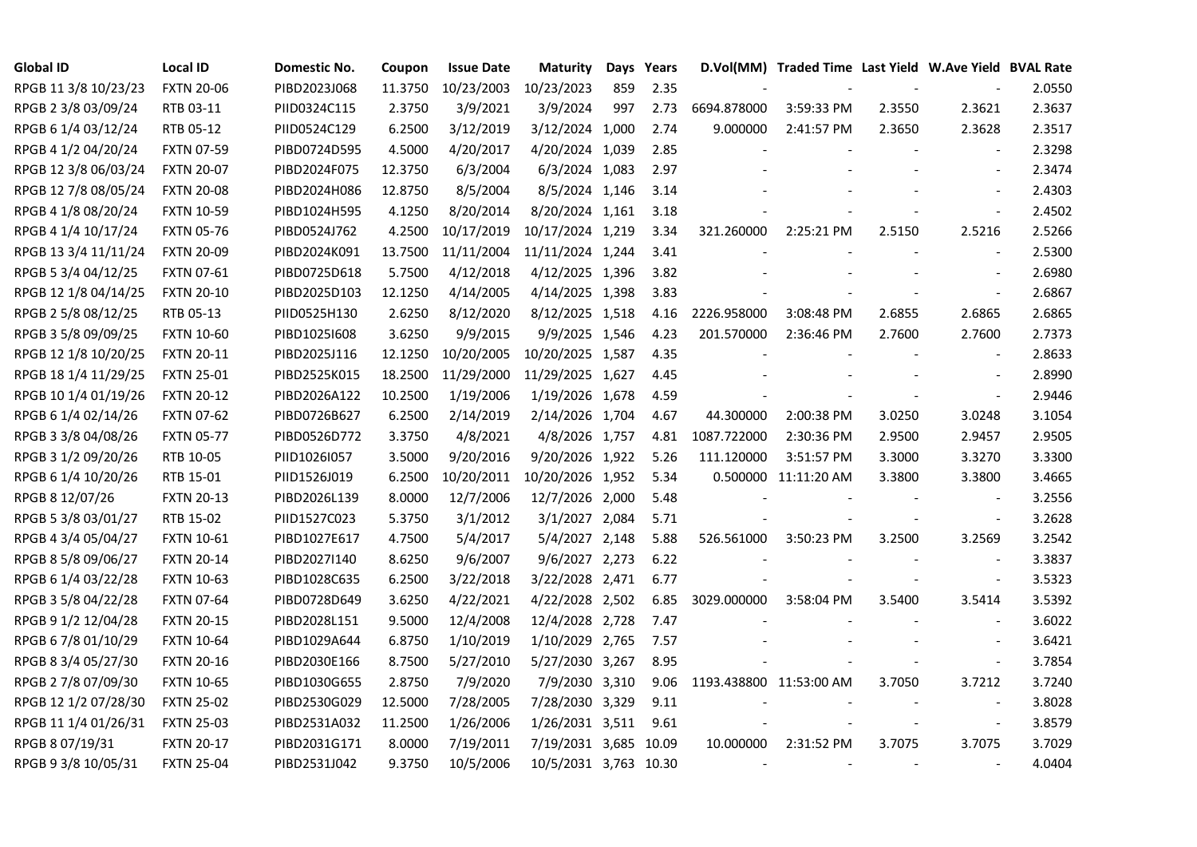| <b>Global ID</b>     | <b>Local ID</b>   | Domestic No. | Coupon  | <b>Issue Date</b> | <b>Maturity</b>       |     | Days Years |                         | D.Vol(MM) Traded Time Last Yield W.Ave Yield BVAL Rate |        |                          |        |
|----------------------|-------------------|--------------|---------|-------------------|-----------------------|-----|------------|-------------------------|--------------------------------------------------------|--------|--------------------------|--------|
| RPGB 11 3/8 10/23/23 | <b>FXTN 20-06</b> | PIBD2023J068 | 11.3750 | 10/23/2003        | 10/23/2023            | 859 | 2.35       |                         |                                                        |        |                          | 2.0550 |
| RPGB 2 3/8 03/09/24  | RTB 03-11         | PIID0324C115 | 2.3750  | 3/9/2021          | 3/9/2024              | 997 | 2.73       | 6694.878000             | 3:59:33 PM                                             | 2.3550 | 2.3621                   | 2.3637 |
| RPGB 6 1/4 03/12/24  | RTB 05-12         | PIID0524C129 | 6.2500  | 3/12/2019         | 3/12/2024 1,000       |     | 2.74       | 9.000000                | 2:41:57 PM                                             | 2.3650 | 2.3628                   | 2.3517 |
| RPGB 4 1/2 04/20/24  | <b>FXTN 07-59</b> | PIBD0724D595 | 4.5000  | 4/20/2017         | 4/20/2024 1,039       |     | 2.85       |                         |                                                        |        | $\blacksquare$           | 2.3298 |
| RPGB 12 3/8 06/03/24 | <b>FXTN 20-07</b> | PIBD2024F075 | 12.3750 | 6/3/2004          | 6/3/2024 1,083        |     | 2.97       |                         |                                                        |        | $\overline{\phantom{a}}$ | 2.3474 |
| RPGB 12 7/8 08/05/24 | <b>FXTN 20-08</b> | PIBD2024H086 | 12.8750 | 8/5/2004          | 8/5/2024 1,146        |     | 3.14       |                         |                                                        |        | $\blacksquare$           | 2.4303 |
| RPGB 4 1/8 08/20/24  | <b>FXTN 10-59</b> | PIBD1024H595 | 4.1250  | 8/20/2014         | 8/20/2024 1,161       |     | 3.18       |                         |                                                        |        | $\blacksquare$           | 2.4502 |
| RPGB 4 1/4 10/17/24  | <b>FXTN 05-76</b> | PIBD0524J762 | 4.2500  | 10/17/2019        | 10/17/2024 1,219      |     | 3.34       | 321.260000              | 2:25:21 PM                                             | 2.5150 | 2.5216                   | 2.5266 |
| RPGB 13 3/4 11/11/24 | <b>FXTN 20-09</b> | PIBD2024K091 | 13.7500 | 11/11/2004        | 11/11/2024 1,244      |     | 3.41       |                         |                                                        |        |                          | 2.5300 |
| RPGB 5 3/4 04/12/25  | <b>FXTN 07-61</b> | PIBD0725D618 | 5.7500  | 4/12/2018         | 4/12/2025 1,396       |     | 3.82       |                         |                                                        |        | $\overline{\phantom{a}}$ | 2.6980 |
| RPGB 12 1/8 04/14/25 | <b>FXTN 20-10</b> | PIBD2025D103 | 12.1250 | 4/14/2005         | 4/14/2025 1,398       |     | 3.83       |                         |                                                        |        | $\blacksquare$           | 2.6867 |
| RPGB 2 5/8 08/12/25  | RTB 05-13         | PIID0525H130 | 2.6250  | 8/12/2020         | 8/12/2025 1,518       |     | 4.16       | 2226.958000             | 3:08:48 PM                                             | 2.6855 | 2.6865                   | 2.6865 |
| RPGB 3 5/8 09/09/25  | <b>FXTN 10-60</b> | PIBD10251608 | 3.6250  | 9/9/2015          | 9/9/2025 1,546        |     | 4.23       | 201.570000              | 2:36:46 PM                                             | 2.7600 | 2.7600                   | 2.7373 |
| RPGB 12 1/8 10/20/25 | <b>FXTN 20-11</b> | PIBD2025J116 | 12.1250 | 10/20/2005        | 10/20/2025 1,587      |     | 4.35       |                         |                                                        |        | $\blacksquare$           | 2.8633 |
| RPGB 18 1/4 11/29/25 | <b>FXTN 25-01</b> | PIBD2525K015 | 18.2500 | 11/29/2000        | 11/29/2025 1,627      |     | 4.45       |                         |                                                        |        | $\blacksquare$           | 2.8990 |
| RPGB 10 1/4 01/19/26 | <b>FXTN 20-12</b> | PIBD2026A122 | 10.2500 | 1/19/2006         | 1/19/2026 1,678       |     | 4.59       |                         |                                                        |        | $\overline{\phantom{a}}$ | 2.9446 |
| RPGB 6 1/4 02/14/26  | <b>FXTN 07-62</b> | PIBD0726B627 | 6.2500  | 2/14/2019         | 2/14/2026 1,704       |     | 4.67       | 44.300000               | 2:00:38 PM                                             | 3.0250 | 3.0248                   | 3.1054 |
| RPGB 3 3/8 04/08/26  | <b>FXTN 05-77</b> | PIBD0526D772 | 3.3750  | 4/8/2021          | 4/8/2026 1,757        |     | 4.81       | 1087.722000             | 2:30:36 PM                                             | 2.9500 | 2.9457                   | 2.9505 |
| RPGB 3 1/2 09/20/26  | RTB 10-05         | PIID1026I057 | 3.5000  | 9/20/2016         | 9/20/2026 1,922       |     | 5.26       | 111.120000              | 3:51:57 PM                                             | 3.3000 | 3.3270                   | 3.3300 |
| RPGB 6 1/4 10/20/26  | RTB 15-01         | PIID1526J019 | 6.2500  | 10/20/2011        | 10/20/2026 1,952      |     | 5.34       |                         | 0.500000 11:11:20 AM                                   | 3.3800 | 3.3800                   | 3.4665 |
| RPGB 8 12/07/26      | <b>FXTN 20-13</b> | PIBD2026L139 | 8.0000  | 12/7/2006         | 12/7/2026 2,000       |     | 5.48       |                         |                                                        |        | $\overline{\phantom{a}}$ | 3.2556 |
| RPGB 5 3/8 03/01/27  | RTB 15-02         | PIID1527C023 | 5.3750  | 3/1/2012          | 3/1/2027 2,084        |     | 5.71       |                         |                                                        |        | $\overline{\phantom{a}}$ | 3.2628 |
| RPGB 4 3/4 05/04/27  | <b>FXTN 10-61</b> | PIBD1027E617 | 4.7500  | 5/4/2017          | 5/4/2027 2,148        |     | 5.88       | 526.561000              | 3:50:23 PM                                             | 3.2500 | 3.2569                   | 3.2542 |
| RPGB 8 5/8 09/06/27  | <b>FXTN 20-14</b> | PIBD2027I140 | 8.6250  | 9/6/2007          | 9/6/2027 2,273        |     | 6.22       |                         |                                                        |        | $\overline{\phantom{a}}$ | 3.3837 |
| RPGB 6 1/4 03/22/28  | <b>FXTN 10-63</b> | PIBD1028C635 | 6.2500  | 3/22/2018         | 3/22/2028 2,471       |     | 6.77       |                         |                                                        |        | $\bar{\phantom{a}}$      | 3.5323 |
| RPGB 3 5/8 04/22/28  | <b>FXTN 07-64</b> | PIBD0728D649 | 3.6250  | 4/22/2021         | 4/22/2028 2,502       |     | 6.85       | 3029.000000             | 3:58:04 PM                                             | 3.5400 | 3.5414                   | 3.5392 |
| RPGB 9 1/2 12/04/28  | <b>FXTN 20-15</b> | PIBD2028L151 | 9.5000  | 12/4/2008         | 12/4/2028 2,728       |     | 7.47       |                         |                                                        |        | $\sim$                   | 3.6022 |
| RPGB 6 7/8 01/10/29  | <b>FXTN 10-64</b> | PIBD1029A644 | 6.8750  | 1/10/2019         | 1/10/2029 2,765       |     | 7.57       |                         |                                                        |        | $\blacksquare$           | 3.6421 |
| RPGB 8 3/4 05/27/30  | <b>FXTN 20-16</b> | PIBD2030E166 | 8.7500  | 5/27/2010         | 5/27/2030 3,267       |     | 8.95       |                         |                                                        |        | $\omega$                 | 3.7854 |
| RPGB 2 7/8 07/09/30  | <b>FXTN 10-65</b> | PIBD1030G655 | 2.8750  | 7/9/2020          | 7/9/2030 3,310        |     | 9.06       | 1193.438800 11:53:00 AM |                                                        | 3.7050 | 3.7212                   | 3.7240 |
| RPGB 12 1/2 07/28/30 | <b>FXTN 25-02</b> | PIBD2530G029 | 12.5000 | 7/28/2005         | 7/28/2030 3,329       |     | 9.11       |                         |                                                        |        | $\overline{\phantom{a}}$ | 3.8028 |
| RPGB 11 1/4 01/26/31 | <b>FXTN 25-03</b> | PIBD2531A032 | 11.2500 | 1/26/2006         | 1/26/2031 3,511       |     | 9.61       |                         |                                                        |        | $\overline{\phantom{a}}$ | 3.8579 |
| RPGB 8 07/19/31      | <b>FXTN 20-17</b> | PIBD2031G171 | 8.0000  | 7/19/2011         | 7/19/2031 3,685 10.09 |     |            | 10.000000               | 2:31:52 PM                                             | 3.7075 | 3.7075                   | 3.7029 |
| RPGB 9 3/8 10/05/31  | <b>FXTN 25-04</b> | PIBD2531J042 | 9.3750  | 10/5/2006         | 10/5/2031 3,763 10.30 |     |            |                         |                                                        |        |                          | 4.0404 |